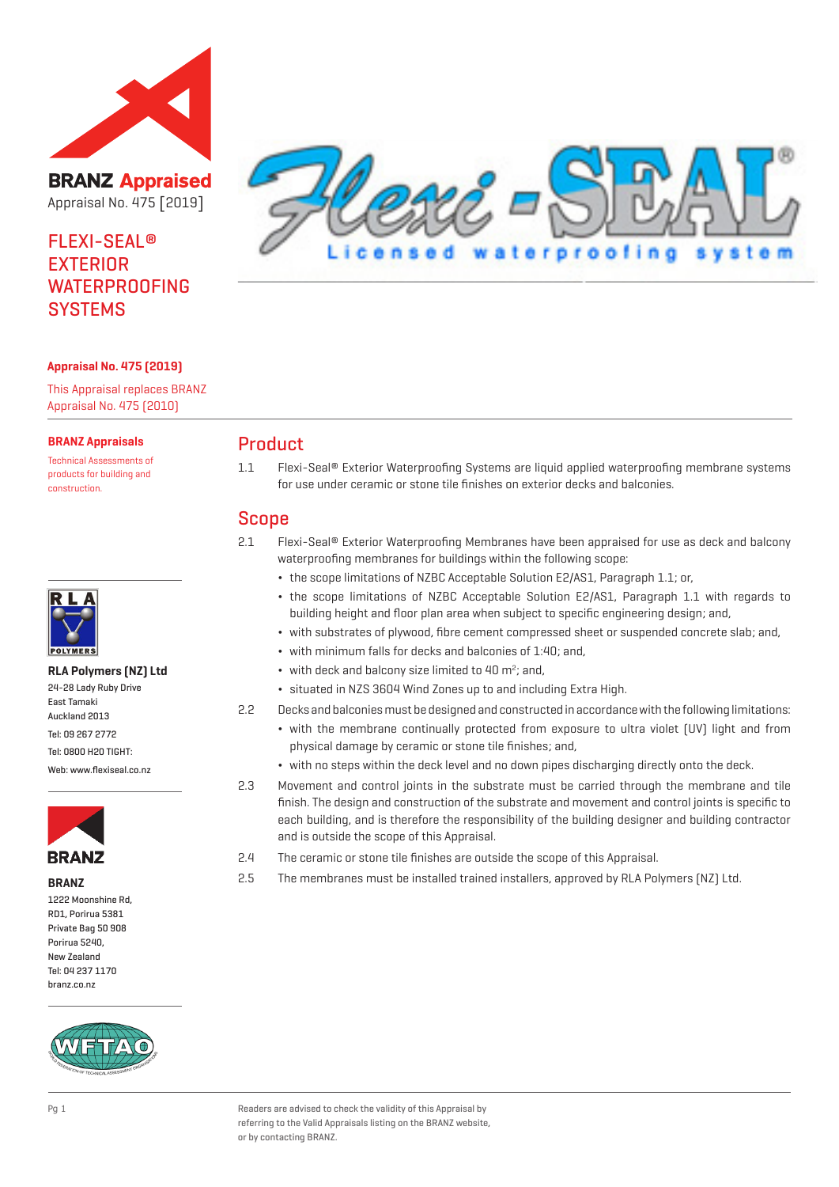

**BRANZ Appraised** Appraisal No. 475 [2019]

# FLEXI-SEAL® EXTERIOR WATERPROOFING **SYSTEMS**



#### **Appraisal No. 475 (2019)**

This Appraisal replaces BRANZ Appraisal No. 475 (2010)

#### **BRANZ Appraisals**

Technical Assessments of products for building and construction.



#### **RLA Polymers (NZ) Ltd**

| 24-28 Lady Ruby Drive    |
|--------------------------|
| East Tamaki              |
| Auckland 2013            |
| Tel: 09 267 2772         |
| Tel: 0800 H20 TIGHT:     |
| Web: www.flexiseal.co.nz |



**BRANZ** 1222 Moonshine Rd, RD1, Porirua 5381 Private Bag 50 908 Porirua 5240, New Zealand Tel: 04 237 1170 branz.co.nz



## Product

1.1 Flexi-Seal® Exterior Waterproofing Systems are liquid applied waterproofing membrane systems for use under ceramic or stone tile finishes on exterior decks and balconies.

### Scope

- 2.1 Flexi-Seal® Exterior Waterproofing Membranes have been appraised for use as deck and balcony waterproofing membranes for buildings within the following scope:
	- ¬ the scope limitations of NZBC Acceptable Solution E2/AS1, Paragraph 1.1; or,
	- ¬ the scope limitations of NZBC Acceptable Solution E2/AS1, Paragraph 1.1 with regards to building height and floor plan area when subject to specific engineering design; and,
	- ¬ with substrates of plywood, fibre cement compressed sheet or suspended concrete slab; and,
	- ¬ with minimum falls for decks and balconies of 1:40; and,
	- $\bullet$  with deck and balcony size limited to 40 m<sup>2</sup>; and,
	- ¬ situated in NZS 3604 Wind Zones up to and including Extra High.
- 2.2 Decks and balconies must be designed and constructed in accordance with the following limitations:
	- ¬ with the membrane continually protected from exposure to ultra violet (UV) light and from physical damage by ceramic or stone tile finishes; and,
	- ¬ with no steps within the deck level and no down pipes discharging directly onto the deck.
- 2.3 Movement and control joints in the substrate must be carried through the membrane and tile finish. The design and construction of the substrate and movement and control joints is specific to each building, and is therefore the responsibility of the building designer and building contractor and is outside the scope of this Appraisal.
- 2.4 The ceramic or stone tile finishes are outside the scope of this Appraisal.
- 2.5 The membranes must be installed trained installers, approved by RLA Polymers (NZ) Ltd.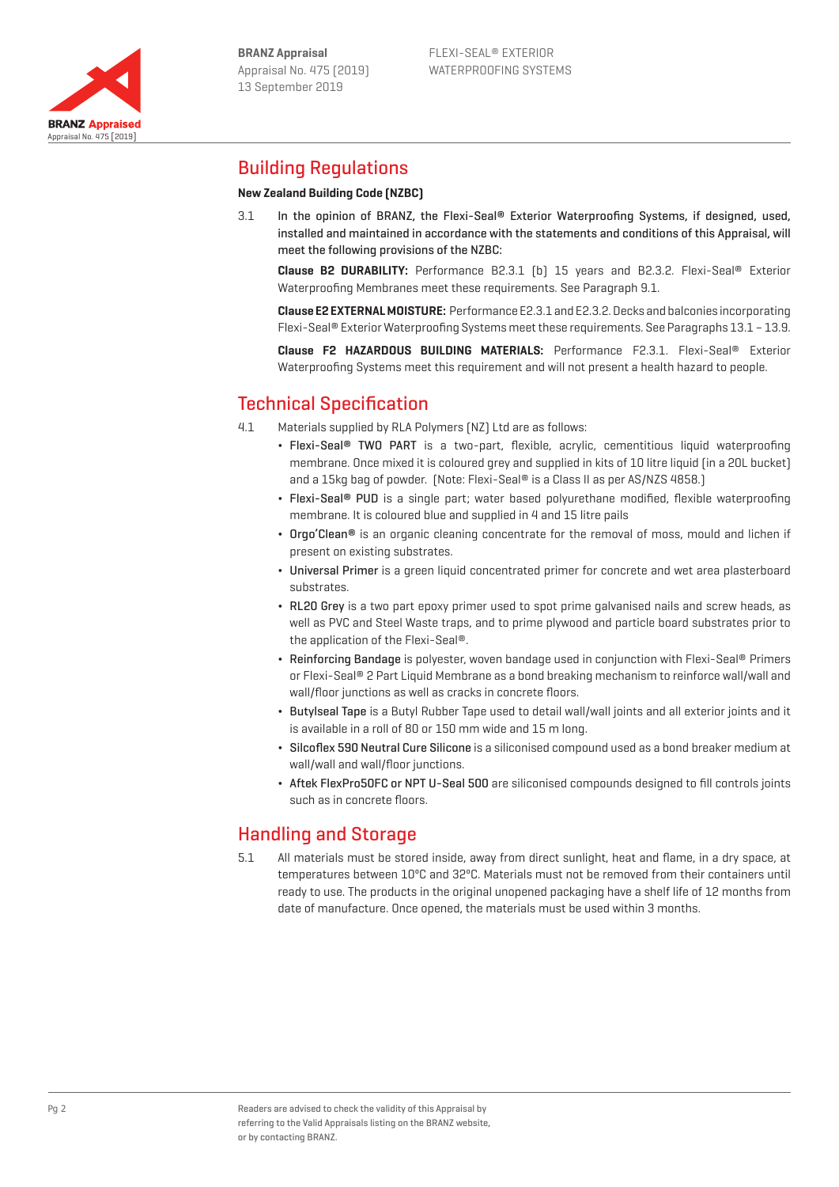

# Building Regulations

Appraisal No. 475 [2019]

**BRANZ Appraised** 

# **New Zealand Building Code (NZBC)**

3.1 In the opinion of BRANZ, the Flexi-Seal® Exterior Waterproofing Systems, if designed, used, installed and maintained in accordance with the statements and conditions of this Appraisal, will meet the following provisions of the NZBC:

**Clause B2 DURABILITY:** Performance B2.3.1 (b) 15 years and B2.3.2. Flexi-Seal® Exterior Waterproofing Membranes meet these requirements. See Paragraph 9.1.

**Clause E2 EXTERNAL MOISTURE:** Performance E2.3.1 and E2.3.2. Decks and balconies incorporating Flexi-Seal® Exterior Waterproofing Systems meet these requirements. See Paragraphs 13.1 – 13.9.

**Clause F2 HAZARDOUS BUILDING MATERIALS:** Performance F2.3.1. Flexi-Seal® Exterior Waterproofing Systems meet this requirement and will not present a health hazard to people.

# Technical Specification

- 4.1 Materials supplied by RLA Polymers (NZ) Ltd are as follows:
	- Flexi-Seal® TWO PART is a two-part, flexible, acrylic, cementitious liquid waterproofing membrane. Once mixed it is coloured grey and supplied in kits of 10 litre liquid (in a 20L bucket) and a 15kg bag of powder. (Note: Flexi-Seal® is a Class II as per AS/NZS 4858.)
	- Flexi-Seal® PUD is a single part; water based polyurethane modified, flexible waterproofing membrane. It is coloured blue and supplied in 4 and 15 litre pails
	- Orgo'Clean® is an organic cleaning concentrate for the removal of moss, mould and lichen if present on existing substrates.
	- ¬ Universal Primer is a green liquid concentrated primer for concrete and wet area plasterboard substrates.
	- ¬ RL20 Grey is a two part epoxy primer used to spot prime galvanised nails and screw heads, as well as PVC and Steel Waste traps, and to prime plywood and particle board substrates prior to the application of the Flexi-Seal®.
	- ¬ Reinforcing Bandage is polyester, woven bandage used in conjunction with Flexi-Seal® Primers or Flexi-Seal® 2 Part Liquid Membrane as a bond breaking mechanism to reinforce wall/wall and wall/floor junctions as well as cracks in concrete floors.
	- ¬ Butylseal Tape is a Butyl Rubber Tape used to detail wall/wall joints and all exterior joints and it is available in a roll of 80 or 150 mm wide and 15 m long.
	- ¬ Silcoflex 590 Neutral Cure Silicone is a siliconised compound used as a bond breaker medium at wall/wall and wall/floor junctions.
	- ¬ Aftek FlexPro50FC or NPT U-Seal 500 are siliconised compounds designed to fill controls joints such as in concrete floors.

# Handling and Storage

5.1 All materials must be stored inside, away from direct sunlight, heat and flame, in a dry space, at temperatures between 10ºC and 32ºC. Materials must not be removed from their containers until ready to use. The products in the original unopened packaging have a shelf life of 12 months from date of manufacture. Once opened, the materials must be used within 3 months.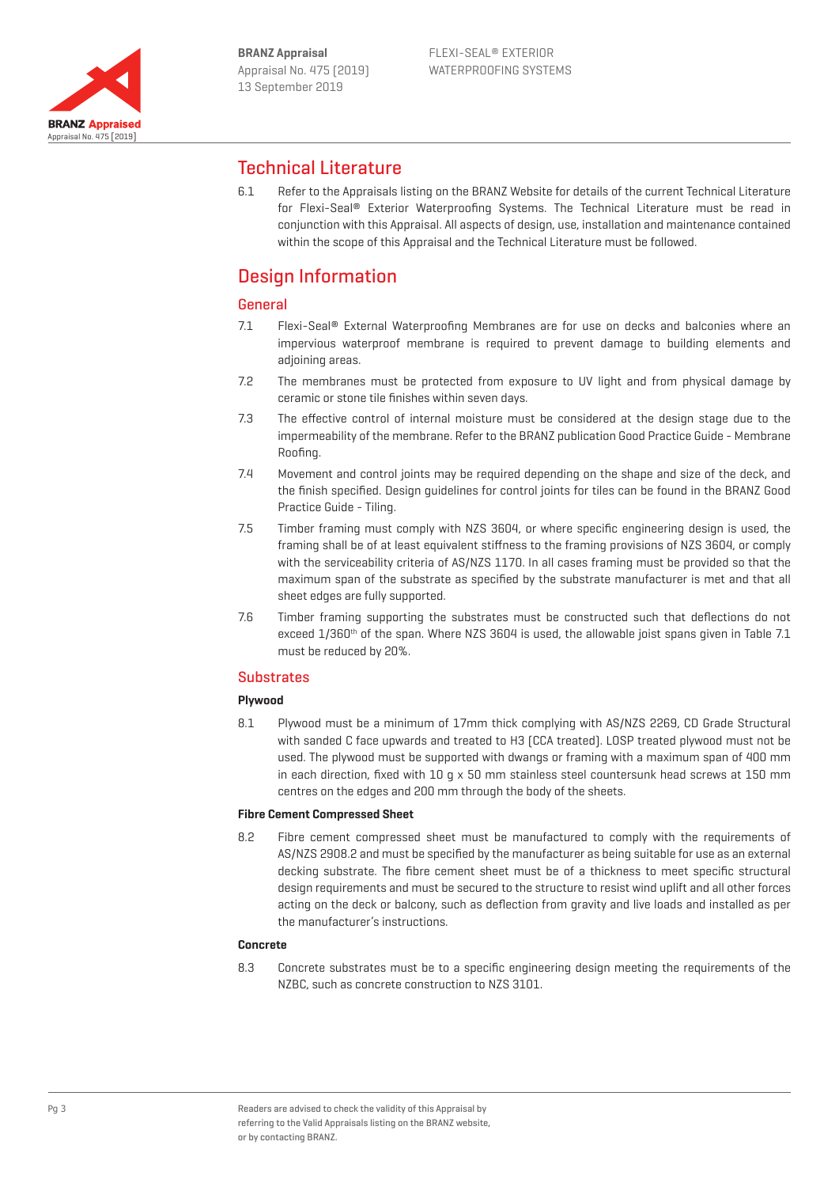

# Technical Literature

6.1 Refer to the Appraisals listing on the BRANZ Website for details of the current Technical Literature for Flexi-Seal® Exterior Waterproofing Systems. The Technical Literature must be read in conjunction with this Appraisal. All aspects of design, use, installation and maintenance contained within the scope of this Appraisal and the Technical Literature must be followed.

# Design Information

### General

- 7.1 Flexi-Seal® External Waterproofing Membranes are for use on decks and balconies where an impervious waterproof membrane is required to prevent damage to building elements and adjoining areas.
- 7.2 The membranes must be protected from exposure to UV light and from physical damage by ceramic or stone tile finishes within seven days.
- 7.3 The effective control of internal moisture must be considered at the design stage due to the impermeability of the membrane. Refer to the BRANZ publication Good Practice Guide - Membrane Roofing.
- 7.4 Movement and control joints may be required depending on the shape and size of the deck, and the finish specified. Design guidelines for control joints for tiles can be found in the BRANZ Good Practice Guide - Tiling.
- 7.5 Timber framing must comply with NZS 3604, or where specific engineering design is used, the framing shall be of at least equivalent stiffness to the framing provisions of NZS 3604, or comply with the serviceability criteria of AS/NZS 1170. In all cases framing must be provided so that the maximum span of the substrate as specified by the substrate manufacturer is met and that all sheet edges are fully supported.
- 7.6 Timber framing supporting the substrates must be constructed such that deflections do not exceed  $1/360$ <sup>th</sup> of the span. Where NZS 3604 is used, the allowable joist spans given in Table 7.1 must be reduced by 20%.

### **Substrates**

### **Plywood**

8.1 Plywood must be a minimum of 17mm thick complying with AS/NZS 2269, CD Grade Structural with sanded C face upwards and treated to H3 (CCA treated). LOSP treated plywood must not be used. The plywood must be supported with dwangs or framing with a maximum span of 400 mm in each direction, fixed with  $10 \text{ q} \times 50 \text{ mm}$  stainless steel countersunk head screws at  $150 \text{ mm}$ centres on the edges and 200 mm through the body of the sheets.

#### **Fibre Cement Compressed Sheet**

8.2 Fibre cement compressed sheet must be manufactured to comply with the requirements of AS/NZS 2908.2 and must be specified by the manufacturer as being suitable for use as an external decking substrate. The fibre cement sheet must be of a thickness to meet specific structural design requirements and must be secured to the structure to resist wind uplift and all other forces acting on the deck or balcony, such as deflection from gravity and live loads and installed as per the manufacturer's instructions.

#### **Concrete**

8.3 Concrete substrates must be to a specific engineering design meeting the requirements of the NZBC, such as concrete construction to NZS 3101.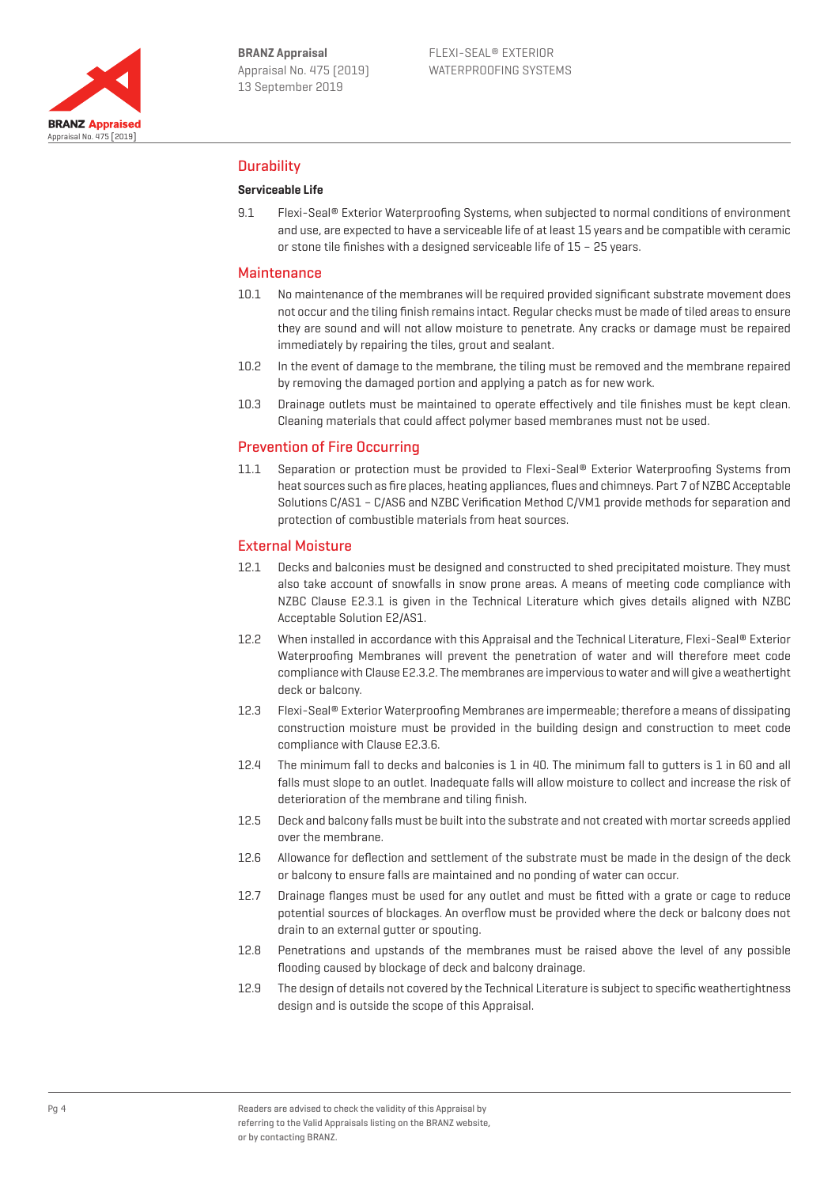

### **Durability**

#### **Serviceable Life**

9.1 Flexi-Seal® Exterior Waterproofing Systems, when subjected to normal conditions of environment and use, are expected to have a serviceable life of at least 15 years and be compatible with ceramic or stone tile finishes with a designed serviceable life of 15 – 25 years.

#### **Maintenance**

- 10.1 No maintenance of the membranes will be required provided significant substrate movement does not occur and the tiling finish remains intact. Regular checks must be made of tiled areas to ensure they are sound and will not allow moisture to penetrate. Any cracks or damage must be repaired immediately by repairing the tiles, grout and sealant.
- 10.2 In the event of damage to the membrane, the tiling must be removed and the membrane repaired by removing the damaged portion and applying a patch as for new work.
- 10.3 Drainage outlets must be maintained to operate effectively and tile finishes must be kept clean. Cleaning materials that could affect polymer based membranes must not be used.

#### Prevention of Fire Occurring

11.1 Separation or protection must be provided to Flexi-Seal® Exterior Waterproofing Systems from heat sources such as fire places, heating appliances, flues and chimneys. Part 7 of NZBC Acceptable Solutions C/AS1 – C/AS6 and NZBC Verification Method C/VM1 provide methods for separation and protection of combustible materials from heat sources.

#### External Moisture

- 12.1 Decks and balconies must be designed and constructed to shed precipitated moisture. They must also take account of snowfalls in snow prone areas. A means of meeting code compliance with NZBC Clause E2.3.1 is given in the Technical Literature which gives details aligned with NZBC Acceptable Solution E2/AS1.
- 12.2 When installed in accordance with this Appraisal and the Technical Literature, Flexi-Seal® Exterior Waterproofing Membranes will prevent the penetration of water and will therefore meet code compliance with Clause E2.3.2. The membranes are impervious to water and will give a weathertight deck or balcony.
- 12.3 Flexi-Seal® Exterior Waterproofing Membranes are impermeable; therefore a means of dissipating construction moisture must be provided in the building design and construction to meet code compliance with Clause E2.3.6.
- 12.4 The minimum fall to decks and balconies is 1 in 40. The minimum fall to gutters is 1 in 60 and all falls must slope to an outlet. Inadequate falls will allow moisture to collect and increase the risk of deterioration of the membrane and tiling finish.
- 12.5 Deck and balcony falls must be built into the substrate and not created with mortar screeds applied over the membrane.
- 12.6 Allowance for deflection and settlement of the substrate must be made in the design of the deck or balcony to ensure falls are maintained and no ponding of water can occur.
- 12.7 Drainage flanges must be used for any outlet and must be fitted with a grate or cage to reduce potential sources of blockages. An overflow must be provided where the deck or balcony does not drain to an external gutter or spouting.
- 12.8 Penetrations and upstands of the membranes must be raised above the level of any possible flooding caused by blockage of deck and balcony drainage.
- 12.9 The design of details not covered by the Technical Literature is subject to specific weathertightness design and is outside the scope of this Appraisal.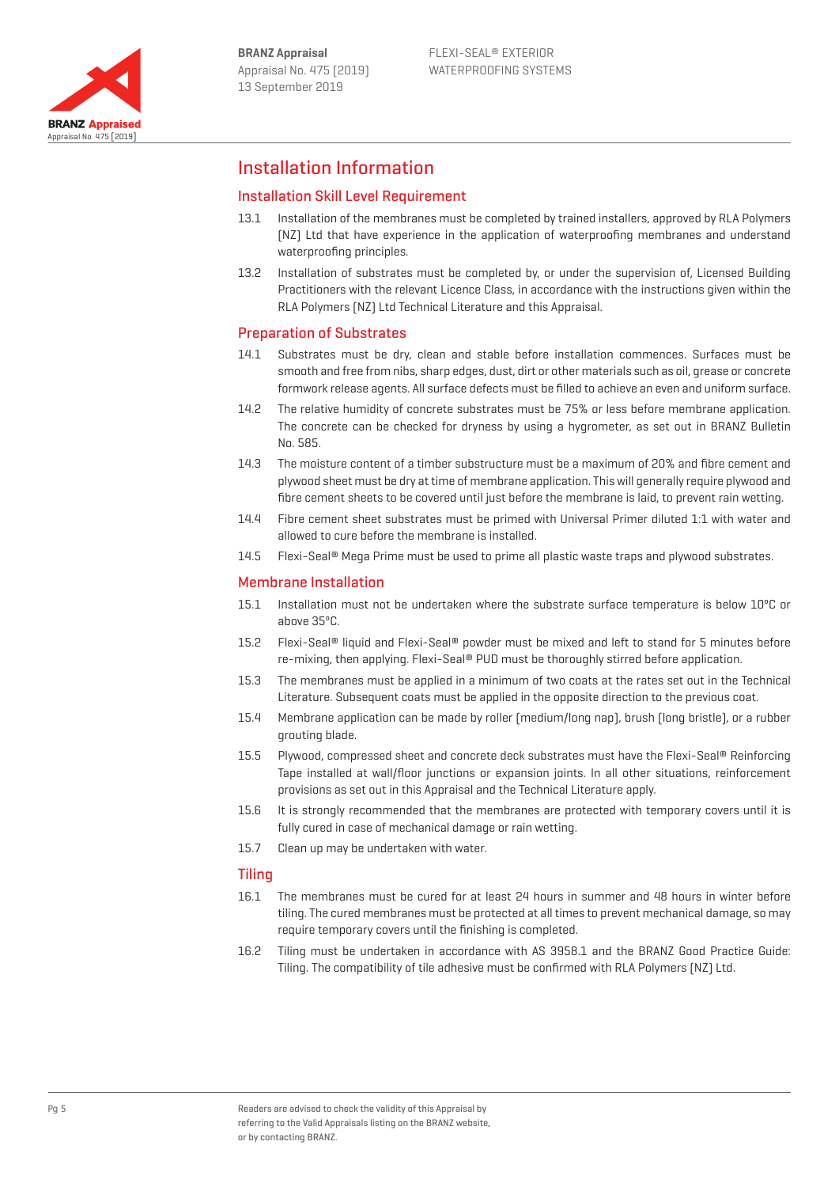

# Installation Information

### Installation Skill Level Requirement

- 13.1 Installation of the membranes must be completed by trained installers, approved by RLA Polymers (NZ) Ltd that have experience in the application of waterproofing membranes and understand waterproofing principles.
- 13.2 Installation of substrates must be completed by, or under the supervision of, Licensed Building Practitioners with the relevant Licence Class, in accordance with the instructions given within the RLA Polymers (NZ) Ltd Technical Literature and this Appraisal.

#### Preparation of Substrates

- 14.1 Substrates must be dry, clean and stable before installation commences. Surfaces must be smooth and free from nibs, sharp edges, dust, dirt or other materials such as oil, grease or concrete formwork release agents. All surface defects must be filled to achieve an even and uniform surface.
- 14.2 The relative humidity of concrete substrates must be 75% or less before membrane application. The concrete can be checked for dryness by using a hygrometer, as set out in BRANZ Bulletin No. 585.
- 14.3 The moisture content of a timber substructure must be a maximum of 20% and fibre cement and plywood sheet must be dry at time of membrane application. This will generally require plywood and fibre cement sheets to be covered until just before the membrane is laid, to prevent rain wetting.
- 14.4 Fibre cement sheet substrates must be primed with Universal Primer diluted 1:1 with water and allowed to cure before the membrane is installed.
- 14.5 Flexi-Seal® Mega Prime must be used to prime all plastic waste traps and plywood substrates.

#### Membrane Installation

- 15.1 Installation must not be undertaken where the substrate surface temperature is below 10ºC or above 35ºC.
- 15.2 Flexi-Seal® liquid and Flexi-Seal® powder must be mixed and left to stand for 5 minutes before re-mixing, then applying. Flexi-Seal® PUD must be thoroughly stirred before application.
- 15.3 The membranes must be applied in a minimum of two coats at the rates set out in the Technical Literature. Subsequent coats must be applied in the opposite direction to the previous coat.
- 15.4 Membrane application can be made by roller (medium/long nap), brush (long bristle), or a rubber grouting blade.
- 15.5 Plywood, compressed sheet and concrete deck substrates must have the Flexi-Seal® Reinforcing Tape installed at wall/floor junctions or expansion joints. In all other situations, reinforcement provisions as set out in this Appraisal and the Technical Literature apply.
- 15.6 It is strongly recommended that the membranes are protected with temporary covers until it is fully cured in case of mechanical damage or rain wetting.
- 15.7 Clean up may be undertaken with water.

#### **Tiling**

- 16.1 The membranes must be cured for at least 24 hours in summer and 48 hours in winter before tiling. The cured membranes must be protected at all times to prevent mechanical damage, so may require temporary covers until the finishing is completed.
- 16.2 Tiling must be undertaken in accordance with AS 3958.1 and the BRANZ Good Practice Guide: Tiling. The compatibility of tile adhesive must be confirmed with RLA Polymers (NZ) Ltd.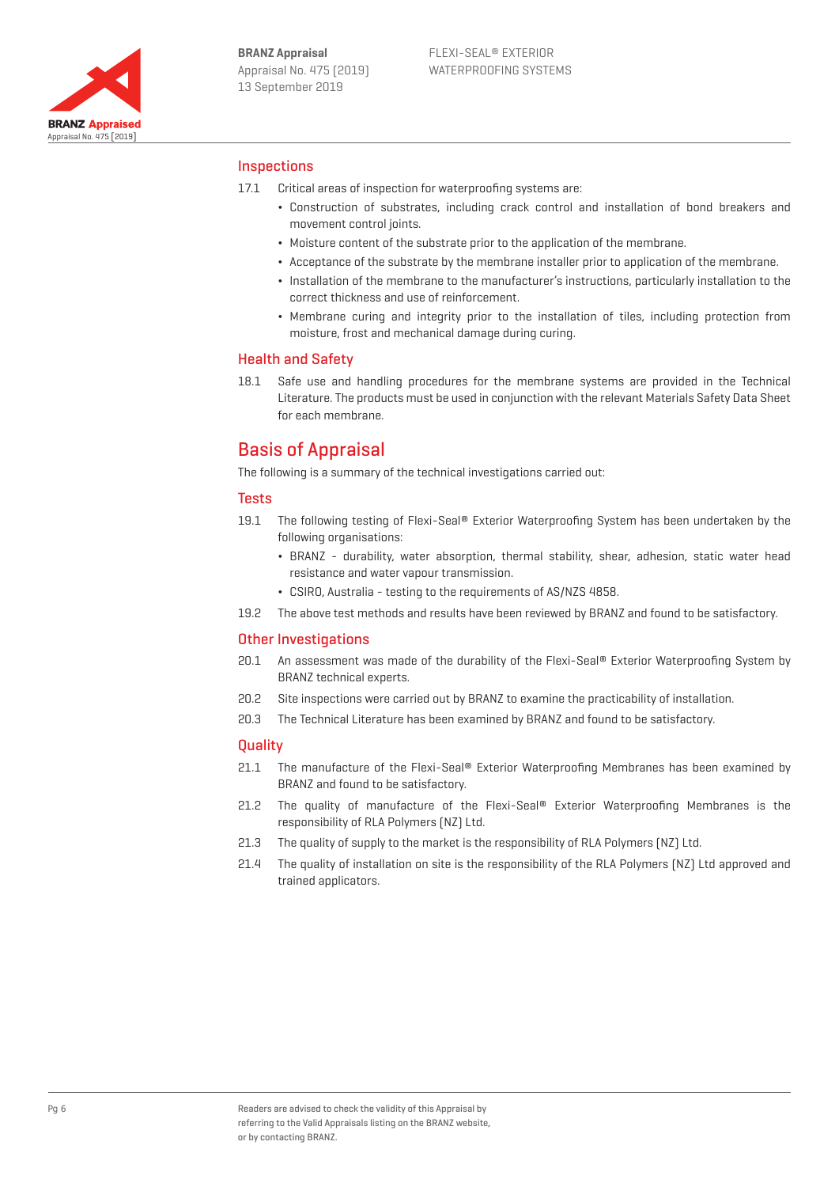

### **Inspections**

- 17.1 Critical areas of inspection for waterproofing systems are:
	- ¬ Construction of substrates, including crack control and installation of bond breakers and movement control joints.
	- ¬ Moisture content of the substrate prior to the application of the membrane.
	- ¬ Acceptance of the substrate by the membrane installer prior to application of the membrane.
	- ¬ Installation of the membrane to the manufacturer's instructions, particularly installation to the correct thickness and use of reinforcement.
	- ¬ Membrane curing and integrity prior to the installation of tiles, including protection from moisture, frost and mechanical damage during curing.

#### Health and Safety

18.1 Safe use and handling procedures for the membrane systems are provided in the Technical Literature. The products must be used in conjunction with the relevant Materials Safety Data Sheet for each membrane.

# Basis of Appraisal

The following is a summary of the technical investigations carried out:

#### **Tests**

- 19.1 The following testing of Flexi-Seal® Exterior Waterproofing System has been undertaken by the following organisations:
	- ¬ BRANZ durability, water absorption, thermal stability, shear, adhesion, static water head resistance and water vapour transmission.
	- ¬ CSIRO, Australia testing to the requirements of AS/NZS 4858.
- 19.2 The above test methods and results have been reviewed by BRANZ and found to be satisfactory.

#### Other Investigations

- 20.1 An assessment was made of the durability of the Flexi-Seal® Exterior Waterproofing System by BRANZ technical experts.
- 20.2 Site inspections were carried out by BRANZ to examine the practicability of installation.
- 20.3 The Technical Literature has been examined by BRANZ and found to be satisfactory.

#### **Ouality**

- 21.1 The manufacture of the Flexi-Seal® Exterior Waterproofing Membranes has been examined by BRANZ and found to be satisfactory.
- 21.2 The quality of manufacture of the Flexi-Seal® Exterior Waterproofing Membranes is the responsibility of RLA Polymers (NZ) Ltd.
- 21.3 The quality of supply to the market is the responsibility of RLA Polymers (NZ) Ltd.
- 21.4 The quality of installation on site is the responsibility of the RLA Polymers (NZ) Ltd approved and trained applicators.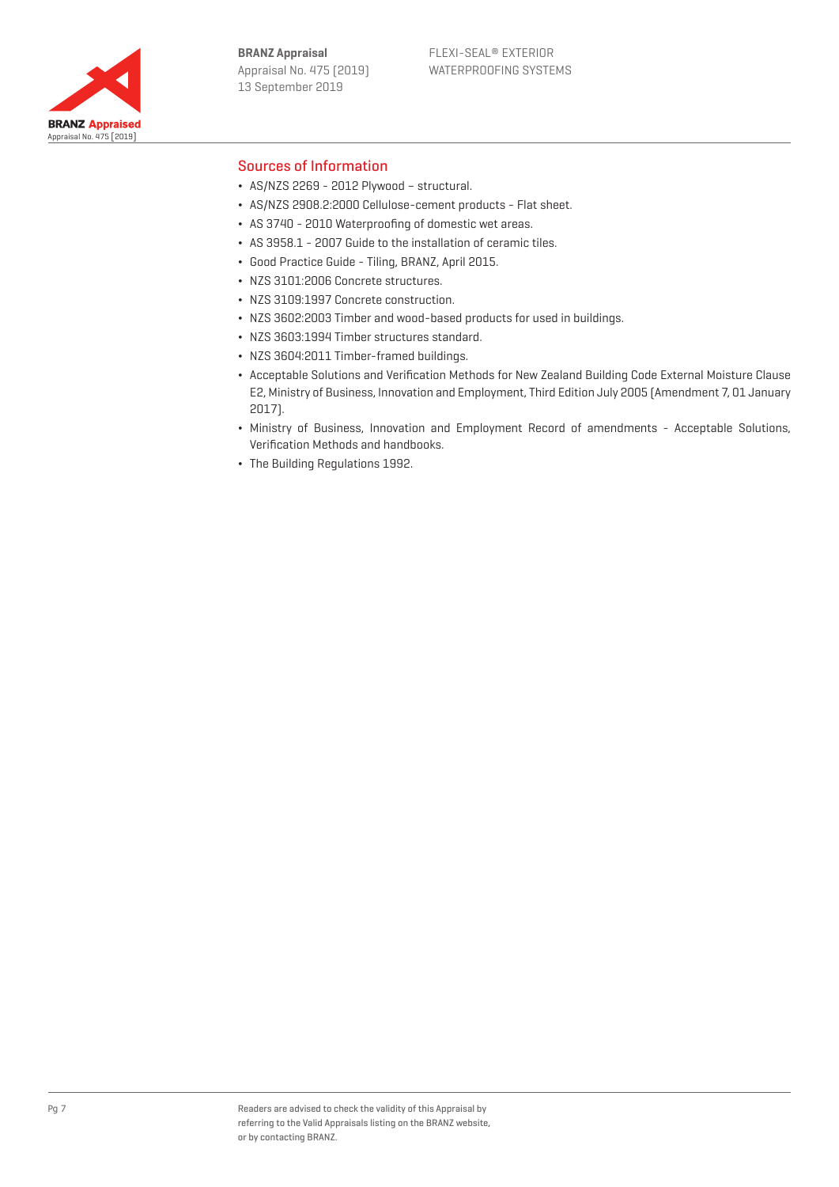**BRANZ Appraisal** Appraisal No. 475 (2019) 13 September 2019



#### Sources of Information

- $\cdot$  AS/NZS 2269 2012 Plywood structural.
- ¬ AS/NZS 2908.2:2000 Cellulose-cement products Flat sheet.
- ¬ AS 3740 2010 Waterproofing of domestic wet areas.
- ¬ AS 3958.1 2007 Guide to the installation of ceramic tiles.
- ¬ Good Practice Guide Tiling, BRANZ, April 2015.
- ¬ NZS 3101:2006 Concrete structures.
- ¬ NZS 3109:1997 Concrete construction.
- ¬ NZS 3602:2003 Timber and wood-based products for used in buildings.
- ¬ NZS 3603:1994 Timber structures standard.
- ¬ NZS 3604:2011 Timber-framed buildings.
- ¬ Acceptable Solutions and Verification Methods for New Zealand Building Code External Moisture Clause E2, Ministry of Business, Innovation and Employment, Third Edition July 2005 (Amendment 7, 01 January 2017).
- ¬ Ministry of Business, Innovation and Employment Record of amendments Acceptable Solutions, Verification Methods and handbooks.
- ¬ The Building Regulations 1992.